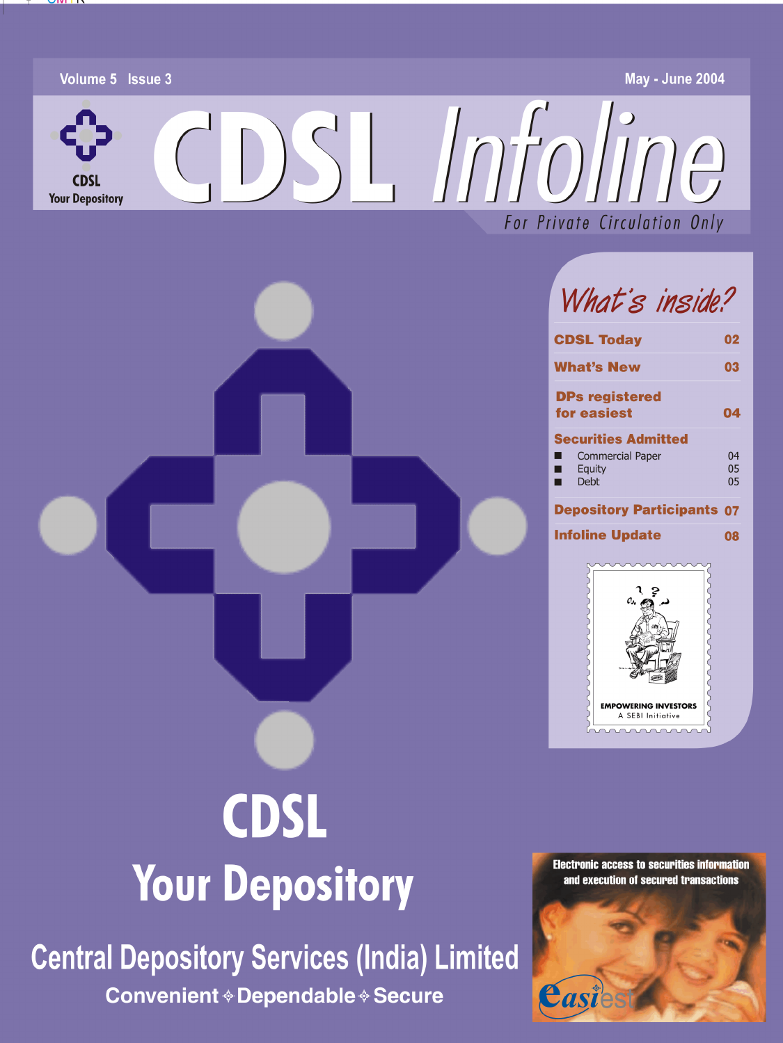

#### **CDSL Today** 02 **What's New**  $0.3$ **DPs registered** for easiest 04 **Securities Admitted Commercial Paper**  $04$ Equity  $0<sub>5</sub>$ Debt  $0<sub>5</sub>$ ▅ **Depository Participants 07 Infoline Update** 08 **EMPOWERING INVESTORS**

# **CDSL Your Depository**

**Central Depository Services (India) Limited Convenient ◈ Dependable ◈ Secure** 



A SEBI Initiative

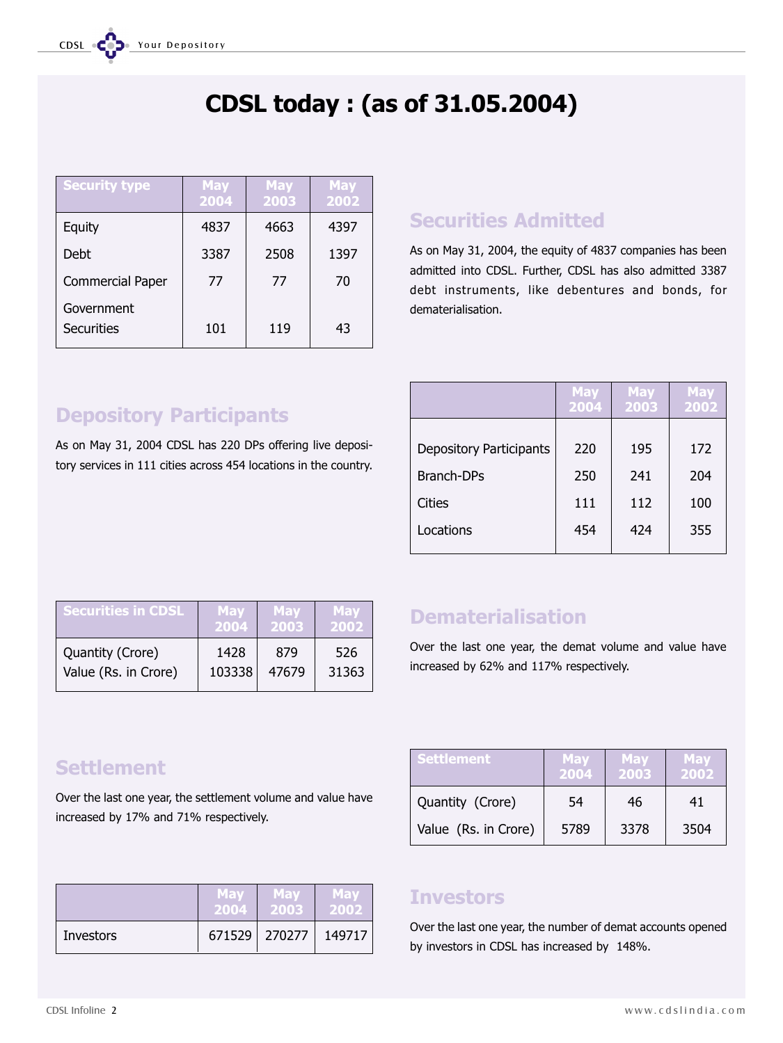# CDSL today : (as of 31.05.2004)

| <b>Security type</b>     | <b>May</b><br>2004 | <b>May</b><br>2003 | <b>May</b><br>2002 |
|--------------------------|--------------------|--------------------|--------------------|
| Equity                   | 4837               | 4663               | 4397               |
| Debt                     | 3387               | 2508               | 1397               |
| <b>Commercial Paper</b>  | 77                 | 77                 | 70                 |
| Government<br>Securities | 101                | 119                | 43                 |

### Securities Admitted

As on May 31, 2004, the equity of 4837 companies has been admitted into CDSL. Further, CDSL has also admitted 3387 debt instruments, like debentures and bonds, for dematerialisation.

## Depository Participants As on May 31, 2004 CDSL has 220 DPs offering live deposi-

tory services in 111 cities across 454 locations in the country.

|                                | <b>May</b><br>2004 | <b>May</b><br>2003 | <b>May</b><br>2002 |
|--------------------------------|--------------------|--------------------|--------------------|
|                                |                    |                    |                    |
| <b>Depository Participants</b> | 220                | 195                | 172                |
| Branch-DPs                     | 250                | 241                | 204                |
| Cities                         | 111                | 112                | 100                |
| Locations                      | 454                | 424                | 355                |

| <b>Securities in CDSL</b> | <b>May</b> | <b>May</b> | May   |
|---------------------------|------------|------------|-------|
|                           | 2004       | 2003       | 2002  |
| Quantity (Crore)          | 1428       | 879        | 526   |
| Value (Rs. in Crore)      | 103338     | 47679      | 31363 |

### Dematerialisation

Over the last one year, the demat volume and value have increased by 62% and 117% respectively.

Settlement **May May May May** 

Quantity (Crore)  $\begin{array}{|c|c|c|c|c|} \hline \end{array}$  54  $\begin{array}{|c|c|c|c|} \hline \end{array}$  46  $\begin{array}{|c|c|c|c|} \hline \end{array}$  41

Value (Rs. in Crore)  $\vert$  5789  $\vert$  3378  $\vert$  3504

2004 2003 2002

### **Settlement**

Over the last one year, the settlement volume and value have increased by 17% and 71% respectively.

|           | <b>May</b> | 'Mav              | May    |
|-----------|------------|-------------------|--------|
|           | 2004       | 2003              | 2002   |
| Investors |            | $671529$   270277 | 149717 |

### Investors

Over the last one year, the number of demat accounts opened by investors in CDSL has increased by 148%.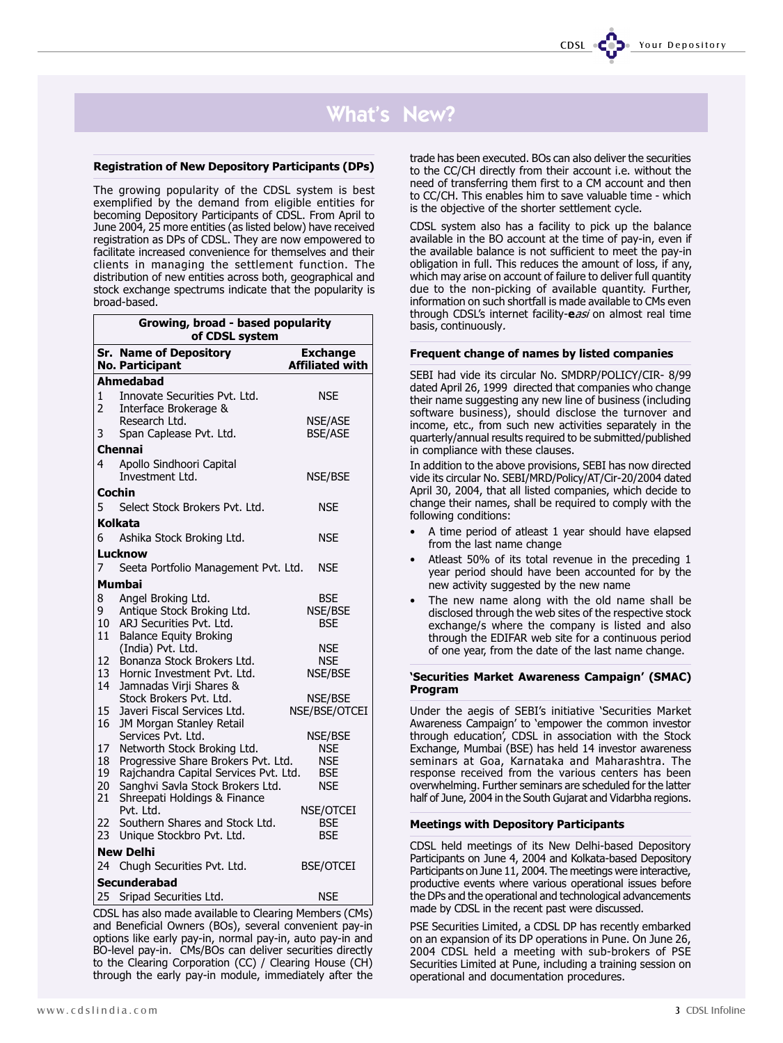### What's New?

#### Registration of New Depository Participants (DPs)

The growing popularity of the CDSL system is best exemplified by the demand from eligible entities for becoming Depository Participants of CDSL. From April to June 2004, 25 more entities (as listed below) have received registration as DPs of CDSL. They are now empowered to facilitate increased convenience for themselves and their clients in managing the settlement function. The distribution of new entities across both, geographical and stock exchange spectrums indicate that the popularity is broad-based.

|                | Growing, broad - based popularity<br>of CDSL system                                                         |                                           |  |  |  |  |  |  |  |
|----------------|-------------------------------------------------------------------------------------------------------------|-------------------------------------------|--|--|--|--|--|--|--|
|                | <b>Sr. Name of Depository</b><br>No. Participant                                                            | <b>Exchange</b><br><b>Affiliated with</b> |  |  |  |  |  |  |  |
|                | Ahmedabad                                                                                                   |                                           |  |  |  |  |  |  |  |
| 1<br>2         | Innovate Securities Pyt. Ltd.<br>Interface Brokerage &                                                      | NSE                                       |  |  |  |  |  |  |  |
| 3              | Research Ltd.<br>Span Caplease Pvt. Ltd.                                                                    | <b>NSE/ASE</b><br><b>BSE/ASE</b>          |  |  |  |  |  |  |  |
|                | <b>Chennai</b>                                                                                              |                                           |  |  |  |  |  |  |  |
| 4              | Apollo Sindhoori Capital<br>Investment Ltd.                                                                 | NSE/BSE                                   |  |  |  |  |  |  |  |
|                | Cochin                                                                                                      |                                           |  |  |  |  |  |  |  |
| 5              | Select Stock Brokers Pvt. Ltd.                                                                              | <b>NSE</b>                                |  |  |  |  |  |  |  |
|                | Kolkata                                                                                                     |                                           |  |  |  |  |  |  |  |
| 6              | Ashika Stock Broking Ltd.                                                                                   | <b>NSE</b>                                |  |  |  |  |  |  |  |
|                | Lucknow                                                                                                     |                                           |  |  |  |  |  |  |  |
| 7              | Seeta Portfolio Management Pvt. Ltd.                                                                        | <b>NSE</b>                                |  |  |  |  |  |  |  |
|                | Mumbai                                                                                                      |                                           |  |  |  |  |  |  |  |
| 8<br>9         | Angel Broking Ltd.<br>Antique Stock Broking Ltd.<br>10 ARJ Securities Pvt. Ltd.                             | <b>BSE</b><br>NSE/BSE<br><b>BSE</b>       |  |  |  |  |  |  |  |
|                | 11 Balance Equity Broking<br>(India) Pvt. Ltd.<br>12 Bonanza Stock Brokers Ltd.                             | <b>NSE</b><br>NSE                         |  |  |  |  |  |  |  |
| 13<br>14       | Hornic Investment Pvt. Ltd.<br>Jamnadas Virji Shares &                                                      | NSE/BSE                                   |  |  |  |  |  |  |  |
| 15             | Stock Brokers Pvt. Ltd.<br>Javeri Fiscal Services Ltd.                                                      | NSE/BSE<br>NSE/BSE/OTCEI                  |  |  |  |  |  |  |  |
| 16             | JM Morgan Stanley Retail<br>Services Pvt. Ltd.                                                              | NSE/BSE                                   |  |  |  |  |  |  |  |
| 17<br>18<br>19 | Networth Stock Broking Ltd.<br>Progressive Share Brokers Pvt. Ltd.<br>Rajchandra Capital Services Pvt. Ltd. | <b>NSE</b><br><b>NSE</b><br><b>BSE</b>    |  |  |  |  |  |  |  |
| 20<br>21       | Sanghvi Savla Stock Brokers Ltd.<br>Shreepati Holdings & Finance                                            | NSE                                       |  |  |  |  |  |  |  |
| 22.            | Pvt. Ltd.<br>Southern Shares and Stock Ltd.                                                                 | NSE/OTCEI<br><b>BSE</b>                   |  |  |  |  |  |  |  |
| 23.            | Unique Stockbro Pvt. Ltd.                                                                                   | <b>BSE</b>                                |  |  |  |  |  |  |  |
|                | <b>New Delhi</b>                                                                                            |                                           |  |  |  |  |  |  |  |
| 24             | Chugh Securities Pvt. Ltd.                                                                                  | <b>BSE/OTCEI</b>                          |  |  |  |  |  |  |  |
|                | Secunderabad                                                                                                |                                           |  |  |  |  |  |  |  |
| 25             | Sripad Securities Ltd.                                                                                      | <b>NSE</b>                                |  |  |  |  |  |  |  |

CDSL has also made available to Clearing Members (CMs) and Beneficial Owners (BOs), several convenient pay-in options like early pay-in, normal pay-in, auto pay-in and BO-level pay-in. CMs/BOs can deliver securities directly to the Clearing Corporation (CC) / Clearing House (CH) through the early pay-in module, immediately after the trade has been executed. BOs can also deliver the securities to the CC/CH directly from their account i.e. without the need of transferring them first to a CM account and then to CC/CH. This enables him to save valuable time - which is the objective of the shorter settlement cycle.

CDSL system also has a facility to pick up the balance available in the BO account at the time of pay-in, even if the available balance is not sufficient to meet the pay-in obligation in full. This reduces the amount of loss, if any, which may arise on account of failure to deliver full quantity due to the non-picking of available quantity. Further, information on such shortfall is made available to CMs even through CDSL's internet facility-easi on almost real time basis, continuously.

#### Frequent change of names by listed companies

SEBI had vide its circular No. SMDRP/POLICY/CIR- 8/99 dated April 26, 1999 directed that companies who change their name suggesting any new line of business (including software business), should disclose the turnover and income, etc., from such new activities separately in the quarterly/annual results required to be submitted/published in compliance with these clauses.

In addition to the above provisions, SEBI has now directed vide its circular No. SEBI/MRD/Policy/AT/Cir-20/2004 dated April 30, 2004, that all listed companies, which decide to change their names, shall be required to comply with the following conditions:

- A time period of atleast 1 year should have elapsed from the last name change
- Atleast 50% of its total revenue in the preceding 1 year period should have been accounted for by the new activity suggested by the new name
- The new name along with the old name shall be disclosed through the web sites of the respective stock exchange/s where the company is listed and also through the EDIFAR web site for a continuous period of one year, from the date of the last name change.

#### 'Securities Market Awareness Campaign' (SMAC) Program

Under the aegis of SEBI's initiative 'Securities Market Awareness Campaign' to 'empower the common investor through education', CDSL in association with the Stock Exchange, Mumbai (BSE) has held 14 investor awareness seminars at Goa, Karnataka and Maharashtra. The response received from the various centers has been overwhelming. Further seminars are scheduled for the latter half of June, 2004 in the South Gujarat and Vidarbha regions.

#### Meetings with Depository Participants

CDSL held meetings of its New Delhi-based Depository Participants on June 4, 2004 and Kolkata-based Depository Participants on June 11, 2004. The meetings were interactive, productive events where various operational issues before the DPs and the operational and technological advancements made by CDSL in the recent past were discussed.

PSE Securities Limited, a CDSL DP has recently embarked on an expansion of its DP operations in Pune. On June 26, 2004 CDSL held a meeting with sub-brokers of PSE Securities Limited at Pune, including a training session on operational and documentation procedures.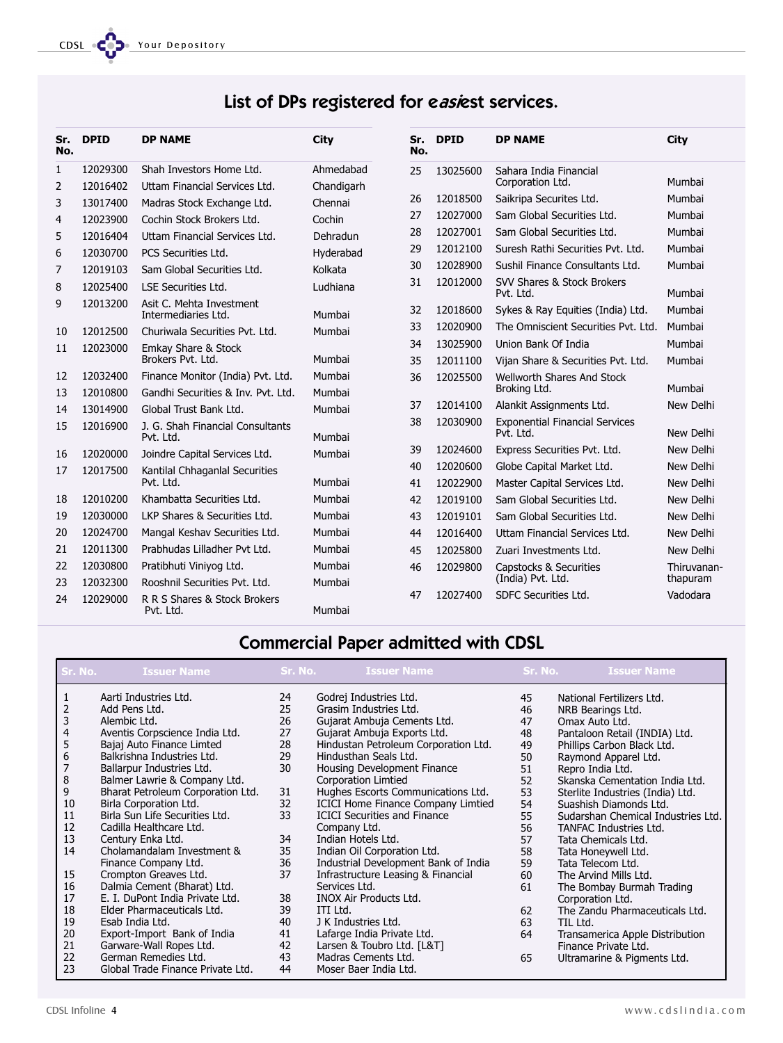### List of DPs registered for easiest services.

| Sr.<br>No.     | <b>DPID</b> | <b>DP NAME</b>                                  | <b>City</b> | Sr.<br>No. | <b>DPID</b> | <b>DP NAME</b>                                     | <b>City</b>      |
|----------------|-------------|-------------------------------------------------|-------------|------------|-------------|----------------------------------------------------|------------------|
| $\mathbf{1}$   | 12029300    | Shah Investors Home Ltd.                        | Ahmedabad   | 25         | 13025600    | Sahara India Financial                             |                  |
| $\overline{2}$ | 12016402    | Uttam Financial Services Ltd.                   | Chandigarh  |            |             | Corporation Ltd.                                   | Mumbai           |
| 3              | 13017400    | Madras Stock Exchange Ltd.                      | Chennai     | 26         | 12018500    | Saikripa Securites Ltd.                            | Mumbai           |
| 4              | 12023900    | Cochin Stock Brokers Ltd.                       | Cochin      | 27         | 12027000    | Sam Global Securities Ltd.                         | Mumbai           |
| 5              | 12016404    | Uttam Financial Services Ltd.                   | Dehradun    | 28         | 12027001    | Sam Global Securities Ltd.                         | Mumbai           |
| 6              | 12030700    | PCS Securities Ltd.                             | Hyderabad   | 29         | 12012100    | Suresh Rathi Securities Pvt. Ltd.                  | Mumbai           |
| 7              | 12019103    | Sam Global Securities Ltd.                      | Kolkata     | 30         | 12028900    | Sushil Finance Consultants Ltd.                    | Mumbai           |
| 8              | 12025400    | <b>LSE Securities Ltd.</b>                      | Ludhiana    | 31         | 12012000    | SVV Shares & Stock Brokers<br>Pvt. Ltd.            | Mumbai           |
| 9              | 12013200    | Asit C. Mehta Investment<br>Intermediaries Ltd. | Mumbai      | 32         | 12018600    | Sykes & Ray Equities (India) Ltd.                  | Mumbai           |
| 10             | 12012500    | Churiwala Securities Pvt. Ltd.                  | Mumbai      | 33         | 12020900    | The Omniscient Securities Pyt. Ltd.                | Mumbai           |
| 11             | 12023000    | Emkay Share & Stock                             |             | 34         | 13025900    | Union Bank Of India                                | Mumbai           |
|                |             | Brokers Pvt. Ltd.                               | Mumbai      | 35         | 12011100    | Vijan Share & Securities Pvt. Ltd.                 | Mumbai           |
| 12             | 12032400    | Finance Monitor (India) Pvt. Ltd.               | Mumbai      | 36         | 12025500    | Wellworth Shares And Stock                         |                  |
| 13             | 12010800    | Gandhi Securities & Inv. Pvt. Ltd.              | Mumbai      |            |             | Broking Ltd.                                       | Mumbai           |
| 14             | 13014900    | Global Trust Bank Ltd.                          | Mumbai      | 37         | 12014100    | Alankit Assignments Ltd.                           | New Delhi        |
| 15             | 12016900    | J. G. Shah Financial Consultants<br>Pvt. Ltd.   | Mumbai      | 38         | 12030900    | <b>Exponential Financial Services</b><br>Pvt. Ltd. | <b>New Delhi</b> |
| 16             | 12020000    | Joindre Capital Services Ltd.                   | Mumbai      | 39         | 12024600    | Express Securities Pvt. Ltd.                       | New Delhi        |
| 17             | 12017500    | Kantilal Chhaganlal Securities                  |             | 40         | 12020600    | Globe Capital Market Ltd.                          | <b>New Delhi</b> |
|                |             | Pvt. Ltd.                                       | Mumbai      | 41         | 12022900    | Master Capital Services Ltd.                       | <b>New Delhi</b> |
| 18             | 12010200    | Khambatta Securities Ltd.                       | Mumbai      | 42         | 12019100    | Sam Global Securities Ltd.                         | New Delhi        |
| 19             | 12030000    | LKP Shares & Securities Ltd.                    | Mumbai      | 43         | 12019101    | Sam Global Securities Ltd.                         | New Delhi        |
| 20             | 12024700    | Mangal Keshav Securities Ltd.                   | Mumbai      | 44         | 12016400    | Uttam Financial Services Ltd.                      | <b>New Delhi</b> |
| 21             | 12011300    | Prabhudas Lilladher Pvt Ltd.                    | Mumbai      | 45         | 12025800    | Zuari Investments Ltd.                             | New Delhi        |
| 22             | 12030800    | Pratibhuti Viniyog Ltd.                         | Mumbai      | 46         | 12029800    | Capstocks & Securities                             | Thiruvanan-      |
| 23             | 12032300    | Rooshnil Securities Pvt. Ltd.                   | Mumbai      |            |             | (India) Pvt. Ltd.                                  | thapuram         |
| 24             | 12029000    | R R S Shares & Stock Brokers<br>Pvt. Ltd.       | Mumbai      | 47         | 12027400    | SDFC Securities Ltd.                               | Vadodara         |

### Commercial Paper admitted with CDSL

| Sr. No.          | <b>Issuer Name</b>                | Sr. No. | <b>Issuer Name</b>                        | Sr. No. | <b>Issuer Name</b>                 |
|------------------|-----------------------------------|---------|-------------------------------------------|---------|------------------------------------|
| $\mathbf{1}$     | Aarti Industries Ltd.             | 24      | Godrej Industries Ltd.                    | 45      | National Fertilizers Ltd.          |
| 2                | Add Pens Ltd.                     | 25      | Grasim Industries Ltd.                    | 46      | NRB Bearings Ltd.                  |
| 3                | Alembic Ltd.                      | 26      | Gujarat Ambuja Cements Ltd.               | 47      | Omax Auto Ltd.                     |
| 4                | Aventis Corpscience India Ltd.    | 27      | Gujarat Ambuja Exports Ltd.               | 48      | Pantaloon Retail (INDIA) Ltd.      |
| 5                | Bajaj Auto Finance Limted         | 28      | Hindustan Petroleum Corporation Ltd.      | 49      | Phillips Carbon Black Ltd.         |
| $\boldsymbol{6}$ | Balkrishna Industries Ltd.        | 29      | Hindusthan Seals Ltd.                     | 50      | Raymond Apparel Ltd.               |
| $\overline{7}$   | Ballarpur Industries Ltd.         | 30      | Housing Development Finance               | 51      | Repro India Ltd.                   |
| $\,8\,$          | Balmer Lawrie & Company Ltd.      |         | <b>Corporation Limtied</b>                | 52      | Skanska Cementation India Ltd.     |
| 9                | Bharat Petroleum Corporation Ltd. | 31      | Hughes Escorts Communications Ltd.        | 53      | Sterlite Industries (India) Ltd.   |
| 10               | Birla Corporation Ltd.            | 32      | <b>ICICI Home Finance Company Limtied</b> | 54      | Suashish Diamonds Ltd.             |
| 11               | Birla Sun Life Securities Ltd.    | 33      | <b>ICICI Securities and Finance</b>       | 55      | Sudarshan Chemical Industries Ltd. |
| 12               | Cadilla Healthcare Ltd.           |         | Company Ltd.                              | 56      | <b>TANFAC Industries Ltd.</b>      |
| 13               | Century Enka Ltd.                 | 34      | Indian Hotels Ltd.                        | 57      | Tata Chemicals Ltd.                |
| 14               | Cholamandalam Investment &        | 35      | Indian Oil Corporation Ltd.               | 58      | Tata Honeywell Ltd.                |
|                  | Finance Company Ltd.              | 36      | Industrial Development Bank of India      | 59      | Tata Telecom Ltd.                  |
| 15               | Crompton Greaves Ltd.             | 37      | Infrastructure Leasing & Financial        | 60      | The Arvind Mills Ltd.              |
| 16               | Dalmia Cement (Bharat) Ltd.       |         | Services Ltd.                             | 61      | The Bombay Burmah Trading          |
| 17               | E. I. DuPont India Private Ltd.   | 38      | <b>INOX Air Products Ltd.</b>             |         | Corporation Ltd.                   |
| 18               | Elder Pharmaceuticals Ltd.        | 39      | ITI Ltd.                                  | 62      | The Zandu Pharmaceuticals Ltd.     |
| 19               | Esab India Ltd.                   | 40      | J K Industries Ltd.                       | 63      | TIL Ltd.                           |
| 20               | Export-Import Bank of India       | 41      | Lafarge India Private Ltd.                | 64      | Transamerica Apple Distribution    |
| 21               | Garware-Wall Ropes Ltd.           | 42      | Larsen & Toubro Ltd. [L&T]                |         | Finance Private Ltd.               |
| 22               | German Remedies Ltd.              | 43      | Madras Cements Ltd.                       | 65      | Ultramarine & Pigments Ltd.        |
| 23               | Global Trade Finance Private Ltd. | 44      | Moser Baer India Ltd.                     |         |                                    |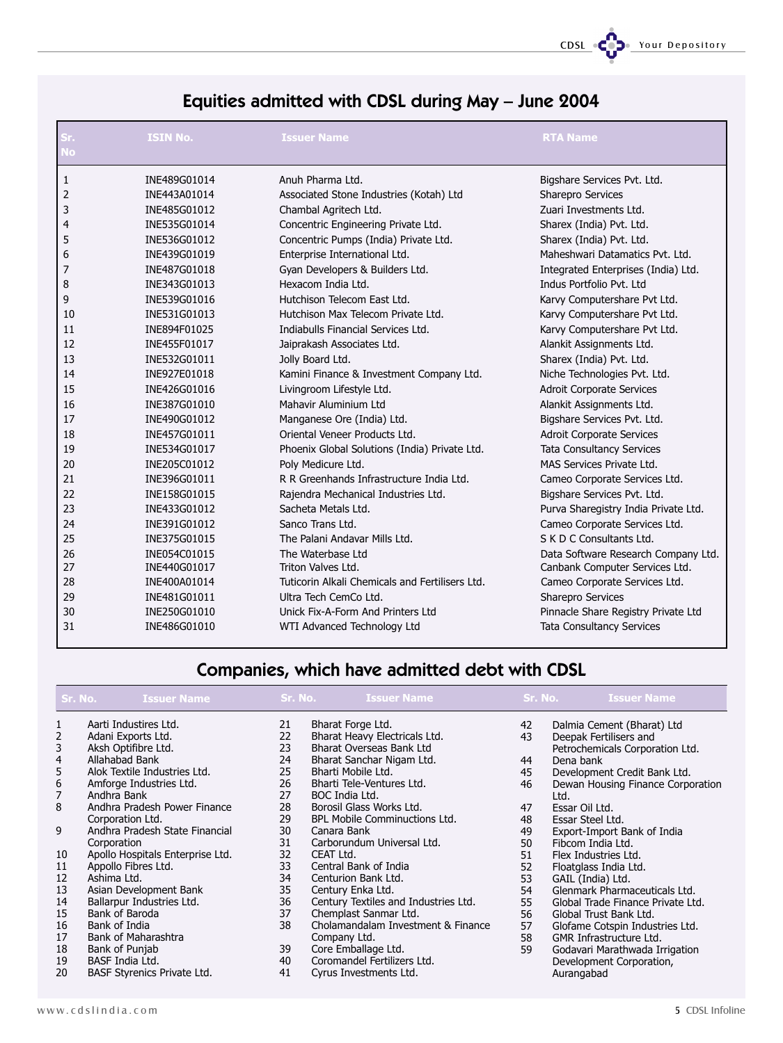CDSL CODe Your Depository

### Equities admitted with CDSL during May - June 2004

| Sr.<br><b>No</b> | <b>ISIN No.</b> | <b>Issuer Name</b>                              | <b>RTA Name</b>                      |
|------------------|-----------------|-------------------------------------------------|--------------------------------------|
|                  |                 |                                                 |                                      |
| 1                | INE489G01014    | Anuh Pharma Ltd.                                | Bigshare Services Pvt. Ltd.          |
| 2                | INE443A01014    | Associated Stone Industries (Kotah) Ltd         | Sharepro Services                    |
| 3                | INE485G01012    | Chambal Agritech Ltd.                           | Zuari Investments Ltd.               |
| $\overline{4}$   | INE535G01014    | Concentric Engineering Private Ltd.             | Sharex (India) Pvt. Ltd.             |
| 5                | INE536G01012    | Concentric Pumps (India) Private Ltd.           | Sharex (India) Pvt. Ltd.             |
| 6                | INE439G01019    | Enterprise International Ltd.                   | Maheshwari Datamatics Pvt. Ltd.      |
| 7                | INE487G01018    | Gyan Developers & Builders Ltd.                 | Integrated Enterprises (India) Ltd.  |
| 8                | INE343G01013    | Hexacom India Ltd.                              | Indus Portfolio Pvt. Ltd             |
| 9                | INE539G01016    | Hutchison Telecom East Ltd.                     | Karvy Computershare Pvt Ltd.         |
| 10               | INE531G01013    | Hutchison Max Telecom Private Ltd.              | Karvy Computershare Pvt Ltd.         |
| 11               | INE894F01025    | Indiabulls Financial Services Ltd.              | Karvy Computershare Pvt Ltd.         |
| 12               | INE455F01017    | Jaiprakash Associates Ltd.                      | Alankit Assignments Ltd.             |
| 13               | INE532G01011    | Jolly Board Ltd.                                | Sharex (India) Pvt. Ltd.             |
| 14               | INE927E01018    | Kamini Finance & Investment Company Ltd.        | Niche Technologies Pvt. Ltd.         |
| 15               | INE426G01016    | Livingroom Lifestyle Ltd.                       | Adroit Corporate Services            |
| 16               | INE387G01010    | Mahavir Aluminium Ltd                           | Alankit Assignments Ltd.             |
| 17               | INE490G01012    | Manganese Ore (India) Ltd.                      | Bigshare Services Pvt. Ltd.          |
| 18               | INE457G01011    | Oriental Veneer Products Ltd.                   | Adroit Corporate Services            |
| 19               | INE534G01017    | Phoenix Global Solutions (India) Private Ltd.   | <b>Tata Consultancy Services</b>     |
| 20               | INE205C01012    | Poly Medicure Ltd.                              | MAS Services Private Ltd.            |
| 21               | INE396G01011    | R R Greenhands Infrastructure India Ltd.        | Cameo Corporate Services Ltd.        |
| 22               | INE158G01015    | Rajendra Mechanical Industries Ltd.             | Bigshare Services Pvt. Ltd.          |
| 23               | INE433G01012    | Sacheta Metals Ltd.                             | Purva Sharegistry India Private Ltd. |
| 24               | INE391G01012    | Sanco Trans Ltd.                                | Cameo Corporate Services Ltd.        |
| 25               | INE375G01015    | The Palani Andavar Mills Ltd.                   | S K D C Consultants Ltd.             |
| 26               | INE054C01015    | The Waterbase Ltd                               | Data Software Research Company Ltd.  |
| 27               | INE440G01017    | Triton Valves Ltd.                              | Canbank Computer Services Ltd.       |
| 28               | INE400A01014    | Tuticorin Alkali Chemicals and Fertilisers Ltd. | Cameo Corporate Services Ltd.        |
| 29               | INE481G01011    | Ultra Tech CemCo Ltd.                           | Sharepro Services                    |
| 30               | INE250G01010    | Unick Fix-A-Form And Printers Ltd               | Pinnacle Share Registry Private Ltd  |
| 31               | INE486G01010    | WTI Advanced Technology Ltd                     | <b>Tata Consultancy Services</b>     |

### Companies, which have admitted debt with CDSL

| Sr. No.                                         | <b>Issuer Name</b>                                                                                                                                                                             | Sr. No.                                      | <b>Issuer Name</b>                                                                                                                                                                                                  | Sr. No.                          | <b>Issuer Name</b>                                                                                                                                                                                    |
|-------------------------------------------------|------------------------------------------------------------------------------------------------------------------------------------------------------------------------------------------------|----------------------------------------------|---------------------------------------------------------------------------------------------------------------------------------------------------------------------------------------------------------------------|----------------------------------|-------------------------------------------------------------------------------------------------------------------------------------------------------------------------------------------------------|
| $\mathbf{1}$<br>2<br>3<br>4<br>5<br>6<br>7<br>8 | Aarti Industires Ltd.<br>Adani Exports Ltd.<br>Aksh Optifibre Ltd.<br>Allahabad Bank<br>Alok Textile Industries Ltd.<br>Amforge Industries Ltd.<br>Andhra Bank<br>Andhra Pradesh Power Finance | 21<br>22<br>23<br>24<br>25<br>26<br>27<br>28 | Bharat Forge Ltd.<br>Bharat Heavy Electricals Ltd.<br><b>Bharat Overseas Bank Ltd</b><br>Bharat Sanchar Nigam Ltd.<br>Bharti Mobile Ltd.<br>Bharti Tele-Ventures Ltd.<br>BOC India Ltd.<br>Borosil Glass Works Ltd. | 42<br>43<br>44<br>45<br>46<br>47 | Dalmia Cement (Bharat) Ltd<br>Deepak Fertilisers and<br>Petrochemicals Corporation Ltd.<br>Dena bank<br>Development Credit Bank Ltd.<br>Dewan Housing Finance Corporation<br>Ltd.<br>Essar Oil Ltd.   |
| 9                                               | Corporation Ltd.<br>Andhra Pradesh State Financial<br>Corporation                                                                                                                              | 29<br>30<br>31                               | <b>BPL Mobile Comminuctions Ltd.</b><br>Canara Bank<br>Carborundum Universal Ltd.                                                                                                                                   | 48<br>49<br>50                   | Essar Steel Ltd.<br>Export-Import Bank of India<br>Fibcom India Ltd.                                                                                                                                  |
| 10<br>11<br>12<br>13                            | Apollo Hospitals Enterprise Ltd.<br>Appollo Fibres Ltd.<br>Ashima Ltd.<br>Asian Development Bank                                                                                               | 32<br>33<br>34<br>35                         | CEAT Ltd.<br>Central Bank of India<br>Centurion Bank Ltd.<br>Century Enka Ltd.                                                                                                                                      | 51<br>52<br>53<br>54             | Flex Industries Ltd.<br>Floatglass India Ltd.<br>GAIL (India) Ltd.<br>Glenmark Pharmaceuticals Ltd.                                                                                                   |
| 14<br>15<br>16<br>17<br>18<br>19<br>20          | Ballarpur Industries Ltd.<br>Bank of Baroda<br>Bank of India<br>Bank of Maharashtra<br>Bank of Punjab<br>BASF India Ltd.<br><b>BASF Styrenics Private Ltd.</b>                                 | 36<br>37<br>38<br>39<br>40<br>41             | Century Textiles and Industries Ltd.<br>Chemplast Sanmar Ltd.<br>Cholamandalam Investment & Finance<br>Company Ltd.<br>Core Emballage Ltd.<br>Coromandel Fertilizers Ltd.<br>Cyrus Investments Ltd.                 | 55<br>56<br>57<br>58<br>59       | Global Trade Finance Private Ltd.<br>Global Trust Bank Ltd.<br>Glofame Cotspin Industries Ltd.<br>GMR Infrastructure Ltd.<br>Godavari Marathwada Irrigation<br>Development Corporation,<br>Aurangabad |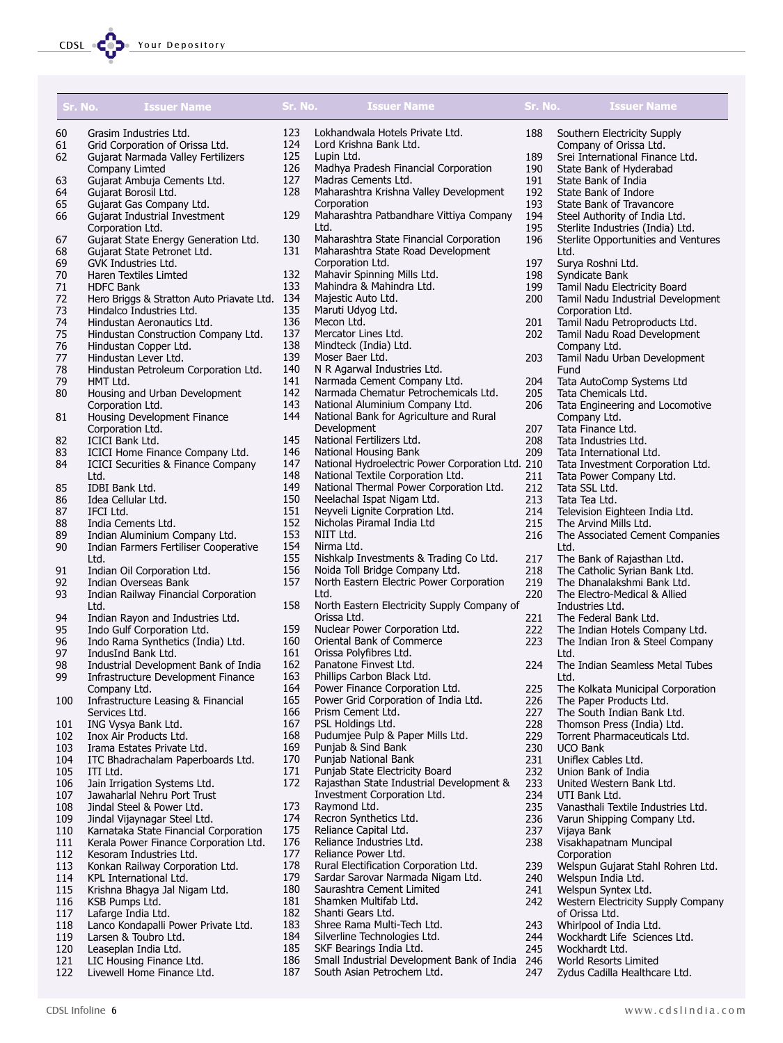

| Sr. No.    |                      | <b>Issuer Name</b>                                               | Sr. No.    | <b>Issuer Name</b>                                                      | Sr. No.    | <b>Issuer Name</b>                                                |
|------------|----------------------|------------------------------------------------------------------|------------|-------------------------------------------------------------------------|------------|-------------------------------------------------------------------|
| 60         |                      | Grasim Industries Ltd.                                           | 123        | Lokhandwala Hotels Private Ltd.                                         | 188        | Southern Electricity Supply                                       |
| 61         |                      | Grid Corporation of Orissa Ltd.                                  | 124        | Lord Krishna Bank Ltd.                                                  |            | Company of Orissa Ltd.                                            |
| 62         |                      | Gujarat Narmada Valley Fertilizers                               | 125        | Lupin Ltd.                                                              | 189        | Srei International Finance Ltd.                                   |
| 63         | Company Limted       | Gujarat Ambuja Cements Ltd.                                      | 126<br>127 | Madhya Pradesh Financial Corporation<br>Madras Cements Ltd.             | 190<br>191 | State Bank of Hyderabad<br>State Bank of India                    |
| 64         | Gujarat Borosil Ltd. |                                                                  | 128        | Maharashtra Krishna Valley Development                                  | 192        | State Bank of Indore                                              |
| 65         |                      | Gujarat Gas Company Ltd.                                         |            | Corporation                                                             | 193        | State Bank of Travancore                                          |
| 66         |                      | Gujarat Industrial Investment                                    | 129        | Maharashtra Patbandhare Vittiya Company                                 | 194        | Steel Authority of India Ltd.                                     |
|            | Corporation Ltd.     |                                                                  |            | Ltd.                                                                    | 195        | Sterlite Industries (India) Ltd.                                  |
| 67         |                      | Gujarat State Energy Generation Ltd.                             | 130        | Maharashtra State Financial Corporation                                 | 196        | Sterlite Opportunities and Ventures                               |
| 68         |                      | Gujarat State Petronet Ltd.                                      | 131        | Maharashtra State Road Development                                      |            | Ltd.                                                              |
| 69         | GVK Industries Ltd.  |                                                                  |            | Corporation Ltd.                                                        | 197        | Surya Roshni Ltd.                                                 |
| 70<br>71   |                      | Haren Textiles Limted                                            | 132<br>133 | Mahavir Spinning Mills Ltd.<br>Mahindra & Mahindra Ltd.                 | 198<br>199 | Syndicate Bank                                                    |
| 72         | <b>HDFC Bank</b>     | Hero Briggs & Stratton Auto Priavate Ltd. 134                    |            | Majestic Auto Ltd.                                                      | 200        | Tamil Nadu Electricity Board<br>Tamil Nadu Industrial Development |
| 73         |                      | Hindalco Industries Ltd.                                         | 135        | Maruti Udyog Ltd.                                                       |            | Corporation Ltd.                                                  |
| 74         |                      | Hindustan Aeronautics Ltd.                                       | 136        | Mecon Ltd.                                                              | 201        | Tamil Nadu Petroproducts Ltd.                                     |
| 75         |                      | Hindustan Construction Company Ltd.                              | 137        | Mercator Lines Ltd.                                                     | 202        | Tamil Nadu Road Development                                       |
| 76         |                      | Hindustan Copper Ltd.                                            | 138        | Mindteck (India) Ltd.                                                   |            | Company Ltd.                                                      |
| 77         | Hindustan Lever Ltd. |                                                                  | 139        | Moser Baer Ltd.                                                         | 203        | Tamil Nadu Urban Development                                      |
| 78         |                      | Hindustan Petroleum Corporation Ltd.                             | 140        | N R Agarwal Industries Ltd.                                             |            | Fund                                                              |
| 79         | HMT Ltd.             |                                                                  | 141        | Narmada Cement Company Ltd.                                             | 204        | Tata AutoComp Systems Ltd                                         |
| 80         | Corporation Ltd.     | Housing and Urban Development                                    | 142<br>143 | Narmada Chematur Petrochemicals Ltd.<br>National Aluminium Company Ltd. | 205<br>206 | Tata Chemicals Ltd.                                               |
| 81         |                      | Housing Development Finance                                      | 144        | National Bank for Agriculture and Rural                                 |            | Tata Engineering and Locomotive<br>Company Ltd.                   |
|            | Corporation Ltd.     |                                                                  |            | Development                                                             | 207        | Tata Finance Ltd.                                                 |
| 82         | ICICI Bank Ltd.      |                                                                  | 145        | National Fertilizers Ltd.                                               | 208        | Tata Industries Ltd.                                              |
| 83         |                      | ICICI Home Finance Company Ltd.                                  | 146        | National Housing Bank                                                   | 209        | Tata International Ltd.                                           |
| 84         |                      | ICICI Securities & Finance Company                               | 147        | National Hydroelectric Power Corporation Ltd. 210                       |            | Tata Investment Corporation Ltd.                                  |
|            | Ltd.                 |                                                                  | 148        | National Textile Corporation Ltd.                                       | 211        | Tata Power Company Ltd.                                           |
| 85         | IDBI Bank Ltd.       |                                                                  | 149        | National Thermal Power Corporation Ltd.                                 | 212        | Tata SSL Ltd.                                                     |
| 86         | Idea Cellular Ltd.   |                                                                  | 150        | Neelachal Ispat Nigam Ltd.                                              | 213        | Tata Tea Ltd.                                                     |
| 87<br>88   | IFCI Ltd.            |                                                                  | 151<br>152 | Neyveli Lignite Corpration Ltd.<br>Nicholas Piramal India Ltd           | 214<br>215 | Television Eighteen India Ltd.                                    |
| 89         | India Cements Ltd.   | Indian Aluminium Company Ltd.                                    | 153        | NIIT Ltd.                                                               | 216        | The Arvind Mills Ltd.<br>The Associated Cement Companies          |
| 90         |                      | Indian Farmers Fertiliser Cooperative                            | 154        | Nirma Ltd.                                                              |            | Ltd.                                                              |
|            | Ltd.                 |                                                                  | 155        | Nishkalp Investments & Trading Co Ltd.                                  | 217        | The Bank of Rajasthan Ltd.                                        |
| 91         |                      | Indian Oil Corporation Ltd.                                      | 156        | Noida Toll Bridge Company Ltd.                                          | 218        | The Catholic Syrian Bank Ltd.                                     |
| 92         |                      | Indian Overseas Bank                                             | 157        | North Eastern Electric Power Corporation                                | 219        | The Dhanalakshmi Bank Ltd.                                        |
| 93         |                      | Indian Railway Financial Corporation                             |            | Ltd.                                                                    | 220        | The Electro-Medical & Allied                                      |
|            | Ltd.                 |                                                                  | 158        | North Eastern Electricity Supply Company of                             |            | Industries Ltd.                                                   |
| 94<br>95   |                      | Indian Rayon and Industries Ltd.<br>Indo Gulf Corporation Ltd.   | 159        | Orissa Ltd.<br>Nuclear Power Corporation Ltd.                           | 221<br>222 | The Federal Bank Ltd.<br>The Indian Hotels Company Ltd.           |
| 96         |                      | Indo Rama Synthetics (India) Ltd.                                | 160        | Oriental Bank of Commerce                                               | 223        | The Indian Iron & Steel Company                                   |
| 97         | IndusInd Bank Ltd.   |                                                                  | 161        | Orissa Polyfibres Ltd.                                                  |            | Ltd.                                                              |
| 98         |                      | Industrial Development Bank of India                             | 162        | Panatone Finvest Ltd.                                                   | 224        | The Indian Seamless Metal Tubes                                   |
| 99         |                      | Infrastructure Development Finance                               | 163        | Phillips Carbon Black Ltd.                                              |            | Ltd.                                                              |
|            | Company Ltd.         |                                                                  | 164        | Power Finance Corporation Ltd.                                          | 225        | The Kolkata Municipal Corporation                                 |
| 100        |                      | Infrastructure Leasing & Financial                               | 165        | Power Grid Corporation of India Ltd.                                    | 226        | The Paper Products Ltd.                                           |
|            | Services Ltd.        |                                                                  | 166        | Prism Cement Ltd.                                                       | 227        | The South Indian Bank Ltd.                                        |
| 101<br>102 | ING Vysya Bank Ltd.  | Inox Air Products Ltd.                                           | 167<br>168 | PSL Holdings Ltd.<br>Pudumjee Pulp & Paper Mills Ltd.                   | 228<br>229 | Thomson Press (India) Ltd.<br>Torrent Pharmaceuticals Ltd.        |
| 103        |                      | Irama Estates Private Ltd.                                       | 169        | Punjab & Sind Bank                                                      | 230        | <b>UCO Bank</b>                                                   |
| 104        |                      | ITC Bhadrachalam Paperboards Ltd.                                | 170        | Punjab National Bank                                                    | 231        | Uniflex Cables Ltd.                                               |
| 105        | ITI Ltd.             |                                                                  | 171        | Punjab State Electricity Board                                          | 232        | Union Bank of India                                               |
| 106        |                      | Jain Irrigation Systems Ltd.                                     | 172        | Rajasthan State Industrial Development &                                | 233        | United Western Bank Ltd.                                          |
| 107        |                      | Jawaharlal Nehru Port Trust                                      |            | Investment Corporation Ltd.                                             | 234        | UTI Bank Ltd.                                                     |
| 108        |                      | Jindal Steel & Power Ltd.                                        | 173        | Raymond Ltd.                                                            | 235        | Vanasthali Textile Industries Ltd.                                |
| 109        |                      | Jindal Vijaynagar Steel Ltd.                                     | 174        | Recron Synthetics Ltd.                                                  | 236        | Varun Shipping Company Ltd.                                       |
| 110<br>111 |                      | Karnataka State Financial Corporation                            | 175<br>176 | Reliance Capital Ltd.<br>Reliance Industries Ltd.                       | 237<br>238 | Vijaya Bank<br>Visakhapatnam Muncipal                             |
| 112        |                      | Kerala Power Finance Corporation Ltd.<br>Kesoram Industries Ltd. | 177        | Reliance Power Ltd.                                                     |            | Corporation                                                       |
| 113        |                      | Konkan Railway Corporation Ltd.                                  | 178        | Rural Electification Corporation Ltd.                                   | 239        | Welspun Gujarat Stahl Rohren Ltd.                                 |
| 114        |                      | KPL International Ltd.                                           | 179        | Sardar Sarovar Narmada Nigam Ltd.                                       | 240        | Welspun India Ltd.                                                |
| 115        |                      | Krishna Bhagya Jal Nigam Ltd.                                    | 180        | Saurashtra Cement Limited                                               | 241        | Welspun Syntex Ltd.                                               |
| 116        | KSB Pumps Ltd.       |                                                                  | 181        | Shamken Multifab Ltd.                                                   | 242        | Western Electricity Supply Company                                |
| 117        | Lafarge India Ltd.   |                                                                  | 182        | Shanti Gears Ltd.                                                       |            | of Orissa Ltd.                                                    |
| 118        |                      | Lanco Kondapalli Power Private Ltd.                              | 183        | Shree Rama Multi-Tech Ltd.                                              | 243        | Whirlpool of India Ltd.                                           |
| 119        | Larsen & Toubro Ltd. |                                                                  | 184        | Silverline Technologies Ltd.                                            | 244        | Wockhardt Life Sciences Ltd.                                      |
| 120<br>121 | Leaseplan India Ltd. | LIC Housing Finance Ltd.                                         | 185<br>186 | SKF Bearings India Ltd.<br>Small Industrial Development Bank of India   | 245<br>246 | Wockhardt Ltd.<br>World Resorts Limited                           |
| 122        |                      | Livewell Home Finance Ltd.                                       | 187        | South Asian Petrochem Ltd.                                              | 247        | Zydus Cadilla Healthcare Ltd.                                     |
|            |                      |                                                                  |            |                                                                         |            |                                                                   |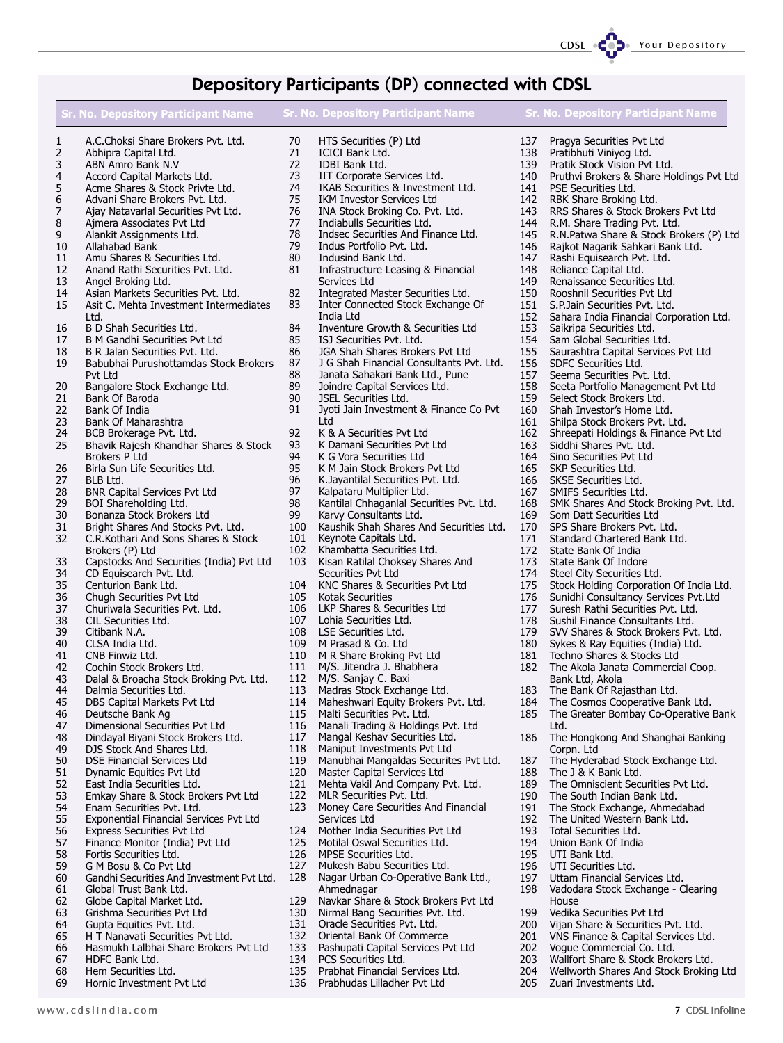CDSL CODE Your Depository

### Depository Participants (DP) connected with CDSL

|          | <b>Sr. No. Depository Participant Name</b>                                   |            | Sr. No. Depository Participant Name                                    |            | <b>Sr. No. Depository Participant Name</b>                               |
|----------|------------------------------------------------------------------------------|------------|------------------------------------------------------------------------|------------|--------------------------------------------------------------------------|
| 1        | A.C.Choksi Share Brokers Pvt. Ltd.                                           | 70         | HTS Securities (P) Ltd                                                 | 137        | Pragya Securities Pvt Ltd                                                |
| 2        | Abhipra Capital Ltd.                                                         | 71         | ICICI Bank Ltd.                                                        | 138        | Pratibhuti Viniyog Ltd.                                                  |
| 3<br>4   | ABN Amro Bank N.V<br>Accord Capital Markets Ltd.                             | 72<br>73   | IDBI Bank Ltd.<br>IIT Corporate Services Ltd.                          | 139<br>140 | Pratik Stock Vision Pvt Ltd.<br>Pruthvi Brokers & Share Holdings Pvt Ltd |
| 5        | Acme Shares & Stock Privte Ltd.                                              | 74         | IKAB Securities & Investment Ltd.                                      | 141        | PSE Securities Ltd.                                                      |
| 6        | Advani Share Brokers Pvt. Ltd.                                               | 75         | IKM Investor Services Ltd                                              | 142        | RBK Share Broking Ltd.                                                   |
| 7        | Ajay Natavarlal Securities Pvt Ltd.                                          | 76         | INA Stock Broking Co. Pvt. Ltd.                                        | 143        | RRS Shares & Stock Brokers Pvt Ltd                                       |
| 8        | Ajmera Associates Pvt Ltd                                                    | 77         | Indiabulls Securities Ltd.                                             | 144        | R.M. Share Trading Pvt. Ltd.                                             |
| 9        | Alankit Assignments Ltd.                                                     | 78         | Indsec Securities And Finance Ltd.                                     | 145        | R.N.Patwa Share & Stock Brokers (P) Ltd                                  |
| 10       | Allahabad Bank                                                               | 79         | Indus Portfolio Pvt. Ltd.                                              | 146        | Rajkot Nagarik Sahkari Bank Ltd.                                         |
| 11       | Amu Shares & Securities Ltd.                                                 | 80         | Indusind Bank Ltd.                                                     | 147        | Rashi Equisearch Pvt. Ltd.                                               |
| 12       | Anand Rathi Securities Pvt. Ltd.                                             | 81         | Infrastructure Leasing & Financial                                     | 148        | Reliance Capital Ltd.                                                    |
| 13       | Angel Broking Ltd.                                                           |            | Services Ltd                                                           | 149        | Renaissance Securities Ltd.                                              |
| 14<br>15 | Asian Markets Securities Pvt. Ltd.<br>Asit C. Mehta Investment Intermediates | 82<br>83   | Integrated Master Securities Ltd.<br>Inter Connected Stock Exchange Of | 150<br>151 | Rooshnil Securities Pvt Ltd<br>S.P. Jain Securities Pvt. Ltd.            |
|          | Ltd.                                                                         |            | India Ltd                                                              | 152        | Sahara India Financial Corporation Ltd.                                  |
| 16       | B D Shah Securities Ltd.                                                     | 84         | Inventure Growth & Securities Ltd                                      | 153        | Saikripa Securities Ltd.                                                 |
| 17       | B M Gandhi Securities Pvt Ltd                                                | 85         | ISJ Securities Pvt. Ltd.                                               | 154        | Sam Global Securities Ltd.                                               |
| 18       | B R Jalan Securities Pvt. Ltd.                                               | 86         | JGA Shah Shares Brokers Pvt Ltd                                        | 155        | Saurashtra Capital Services Pvt Ltd                                      |
| 19       | Babubhai Purushottamdas Stock Brokers                                        | 87         | J G Shah Financial Consultants Pvt. Ltd.                               | 156        | SDFC Securities Ltd.                                                     |
|          | Pvt Ltd                                                                      | 88         | Janata Sahakari Bank Ltd., Pune                                        | 157        | Seema Securities Pvt. Ltd.                                               |
| 20       | Bangalore Stock Exchange Ltd.                                                | 89         | Joindre Capital Services Ltd.                                          | 158        | Seeta Portfolio Management Pvt Ltd                                       |
| 21       | Bank Of Baroda                                                               | 90<br>91   | <b>JSEL Securities Ltd.</b>                                            | 159        | Select Stock Brokers Ltd.<br>Shah Investor's Home Ltd.                   |
| 22<br>23 | Bank Of India<br>Bank Of Maharashtra                                         |            | Jyoti Jain Investment & Finance Co Pvt<br>Ltd                          | 160<br>161 | Shilpa Stock Brokers Pvt. Ltd.                                           |
| 24       | BCB Brokerage Pvt. Ltd.                                                      | 92         | K & A Securities Pvt Ltd                                               | 162        | Shreepati Holdings & Finance Pvt Ltd                                     |
| 25       | Bhavik Rajesh Khandhar Shares & Stock                                        | 93         | K Damani Securities Pvt Ltd                                            | 163        | Siddhi Shares Pvt. Ltd.                                                  |
|          | <b>Brokers P Ltd</b>                                                         | 94         | K G Vora Securities Ltd                                                | 164        | Sino Securities Pvt Ltd                                                  |
| 26       | Birla Sun Life Securities Ltd.                                               | 95         | K M Jain Stock Brokers Pvt Ltd                                         | 165        | SKP Securities Ltd.                                                      |
| 27       | BLB Ltd.                                                                     | 96         | K.Jayantilal Securities Pvt. Ltd.                                      | 166        | SKSE Securities Ltd.                                                     |
| 28       | <b>BNR Capital Services Pvt Ltd</b>                                          | 97         | Kalpataru Multiplier Ltd.                                              | 167        | SMIFS Securities Ltd.                                                    |
| 29       | BOI Shareholding Ltd.                                                        | 98         | Kantilal Chhaganlal Securities Pvt. Ltd.                               | 168        | SMK Shares And Stock Broking Pvt. Ltd.                                   |
| 30       | Bonanza Stock Brokers Ltd                                                    | 99         | Karvy Consultants Ltd.                                                 | 169        | Som Datt Securities Ltd                                                  |
| 31       | Bright Shares And Stocks Pvt. Ltd.                                           | 100        | Kaushik Shah Shares And Securities Ltd.                                | 170        | SPS Share Brokers Pvt. Ltd.                                              |
| 32       | C.R.Kothari And Sons Shares & Stock<br>Brokers (P) Ltd                       | 101<br>102 | Keynote Capitals Ltd.<br>Khambatta Securities Ltd.                     | 171<br>172 | Standard Chartered Bank Ltd.<br>State Bank Of India                      |
| 33       | Capstocks And Securities (India) Pvt Ltd                                     | 103        | Kisan Ratilal Choksey Shares And                                       | 173        | State Bank Of Indore                                                     |
| 34       | CD Equisearch Pvt. Ltd.                                                      |            | Securities Pvt Ltd                                                     | 174        | Steel City Securities Ltd.                                               |
| 35       | Centurion Bank Ltd.                                                          | 104        | KNC Shares & Securities Pvt Ltd                                        | 175        | Stock Holding Corporation Of India Ltd.                                  |
| 36       | Chugh Securities Pvt Ltd                                                     | 105        | <b>Kotak Securities</b>                                                | 176        | Sunidhi Consultancy Services Pvt.Ltd                                     |
| 37       | Churiwala Securities Pvt. Ltd.                                               | 106        | LKP Shares & Securities Ltd                                            | 177        | Suresh Rathi Securities Pvt. Ltd.                                        |
| 38       | CIL Securities Ltd.                                                          | 107        | Lohia Securities Ltd.                                                  | 178        | Sushil Finance Consultants Ltd.                                          |
| 39       | Citibank N.A.                                                                | 108        | LSE Securities Ltd.                                                    | 179        | SVV Shares & Stock Brokers Pvt. Ltd.                                     |
| 40<br>41 | CLSA India Ltd.<br>CNB Finwiz Ltd.                                           | 109<br>110 | M Prasad & Co. Ltd<br>M R Share Broking Pvt Ltd                        | 180        | Sykes & Ray Equities (India) Ltd.<br>Techno Shares & Stocks Ltd          |
| 42       | Cochin Stock Brokers Ltd.                                                    | 111        | M/S. Jitendra J. Bhabhera                                              | 181<br>182 | The Akola Janata Commercial Coop.                                        |
| 43       | Dalal & Broacha Stock Broking Pvt. Ltd.                                      | 112        | M/S. Sanjay C. Baxi                                                    |            | Bank Ltd, Akola                                                          |
| 44       | Dalmia Securities Ltd.                                                       | 113        | Madras Stock Exchange Ltd.                                             | 183        | The Bank Of Rajasthan Ltd.                                               |
| 45       | DBS Capital Markets Pvt Ltd                                                  | 114        | Maheshwari Equity Brokers Pvt. Ltd.                                    | 184        | The Cosmos Cooperative Bank Ltd.                                         |
| 46       | Deutsche Bank Ag                                                             | 115        | Malti Securities Pvt. Ltd.                                             | 185        | The Greater Bombay Co-Operative Bank                                     |
| 47       | Dimensional Securities Pvt Ltd                                               | 116        | Manali Trading & Holdings Pvt. Ltd                                     |            | Ltd.                                                                     |
| 48       | Dindayal Biyani Stock Brokers Ltd.                                           | 117        | Mangal Keshav Securities Ltd.                                          | 186        | The Hongkong And Shanghai Banking                                        |
| 49       | DJS Stock And Shares Ltd.                                                    | 118        | Maniput Investments Pvt Ltd                                            |            | Corpn. Ltd                                                               |
| 50       | DSE Financial Services Ltd                                                   | 119<br>120 | Manubhai Mangaldas Securites Pvt Ltd.<br>Master Capital Services Ltd   | 187        | The Hyderabad Stock Exchange Ltd.<br>The J & K Bank Ltd.                 |
| 51<br>52 | Dynamic Equities Pvt Ltd<br>East India Securities Ltd.                       | 121        | Mehta Vakil And Company Pvt. Ltd.                                      | 188<br>189 | The Omniscient Securities Pvt Ltd.                                       |
| 53       | Emkay Share & Stock Brokers Pvt Ltd                                          | 122        | MLR Securities Pvt. Ltd.                                               | 190        | The South Indian Bank Ltd.                                               |
| 54       | Enam Securities Pvt. Ltd.                                                    | 123        | Money Care Securities And Financial                                    | 191        | The Stock Exchange, Ahmedabad                                            |
| 55       | <b>Exponential Financial Services Pvt Ltd</b>                                |            | Services Ltd                                                           | 192        | The United Western Bank Ltd.                                             |
| 56       | <b>Express Securities Pvt Ltd</b>                                            | 124        | Mother India Securities Pvt Ltd                                        | 193        | Total Securities Ltd.                                                    |
| 57       | Finance Monitor (India) Pvt Ltd                                              | 125        | Motilal Oswal Securities Ltd.                                          | 194        | Union Bank Of India                                                      |
| 58       | Fortis Securities Ltd.                                                       | 126        | MPSE Securities Ltd.                                                   | 195        | UTI Bank Ltd.                                                            |
| 59       | G M Bosu & Co Pvt Ltd                                                        | 127        | Mukesh Babu Securities Ltd.                                            | 196        | UTI Securities Ltd.                                                      |
| 60       | Gandhi Securities And Investment Pvt Ltd.                                    | 128        | Nagar Urban Co-Operative Bank Ltd.,                                    | 197        | Uttam Financial Services Ltd.                                            |
| 61       | Global Trust Bank Ltd.                                                       |            | Ahmednagar                                                             | 198        | Vadodara Stock Exchange - Clearing                                       |
| 62       | Globe Capital Market Ltd.                                                    | 129        | Navkar Share & Stock Brokers Pvt Ltd                                   |            | House                                                                    |
| 63<br>64 | Grishma Securities Pvt Ltd<br>Gupta Equities Pvt. Ltd.                       | 130<br>131 | Nirmal Bang Securities Pvt. Ltd.<br>Oracle Securities Pvt. Ltd.        | 199<br>200 | Vedika Securities Pvt Ltd<br>Vijan Share & Securities Pvt. Ltd.          |
| 65       | H T Nanavati Securities Pvt Ltd.                                             | 132        | Oriental Bank Of Commerce                                              | 201        | VNS Finance & Capital Services Ltd.                                      |
| 66       | Hasmukh Lalbhai Share Brokers Pvt Ltd                                        | 133        | Pashupati Capital Services Pvt Ltd                                     | 202        | Voque Commercial Co. Ltd.                                                |
| 67       | HDFC Bank Ltd.                                                               | 134        | PCS Securities Ltd.                                                    | 203        | Wallfort Share & Stock Brokers Ltd.                                      |

135 Prabhat Financial Services Ltd. 136 Prabhudas Lilladher Pvt Ltd

- 68 Hem Securities Ltd.
- 69 Hornic Investment Pvt Ltd
- 

204 Wellworth Shares And Stock Broking Ltd

205 Zuari Investments Ltd.